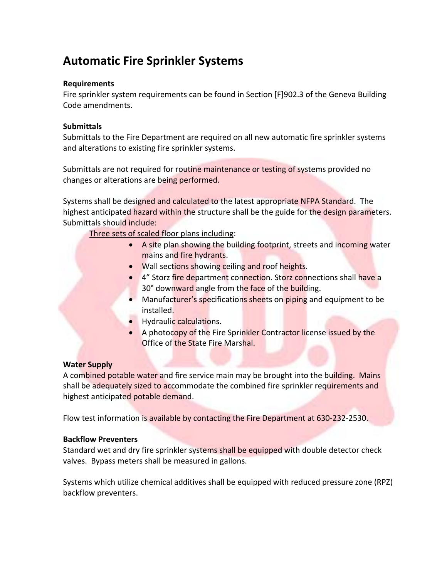# **Automatic Fire Sprinkler Systems**

#### **Requirements**

Fire sprinkler system requirements can be found in Section [F]902.3 of the Geneva Building Code amendments.

#### **Submittals**

Submittals to the Fire Department are required on all new automatic fire sprinkler systems and alterations to existing fire sprinkler systems.

Submittals are not required for routine maintenance or testing of systems provided no changes or alterations are being performed.

Systems shall be designed and calculated to the latest appropriate NFPA Standard. The highest anticipated hazard within the structure shall be the guide for the design parameters. Submittals should include:

Three sets of scaled floor plans including:

- A site plan showing the building footprint, streets and incoming water mains and fire hydrants.
- Wall sections showing ceiling and roof heights.
- 4" Storz fire department connection. Storz connections shall have a 30° downward angle from the face of the building.
- Manufacturer's specifications sheets on piping and equipment to be installed.
- Hydraulic calculations.
- A photocopy of the Fire Sprinkler Contractor license issued by the Office of the State Fire Marshal.

#### **Water Supply**

A combined potable water and fire service main may be brought into the building. Mains shall be adequately sized to accommodate the combined fire sprinkler requirements and highest anticipated potable demand.

Flow test information is available by contacting the Fire Department at 630‐232‐2530.

#### **Backflow Preventers**

Standard wet and dry fire sprinkler systems shall be equipped with double detector check valves. Bypass meters shall be measured in gallons.

Systems which utilize chemical additives shall be equipped with reduced pressure zone (RPZ) backflow preventers.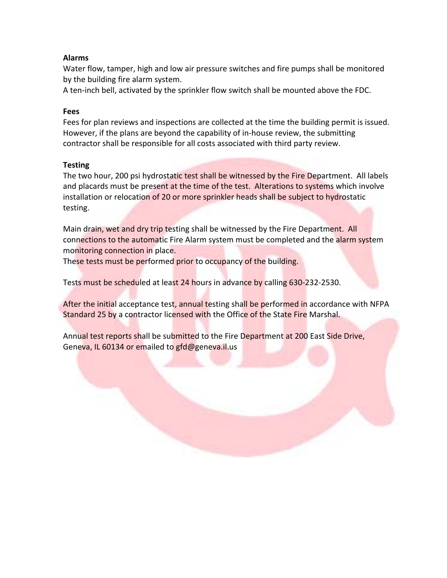### **Alarms**

Water flow, tamper, high and low air pressure switches and fire pumps shall be monitored by the building fire alarm system.

A ten‐inch bell, activated by the sprinkler flow switch shall be mounted above the FDC.

#### **Fees**

Fees for plan reviews and inspections are collected at the time the building permit is issued. However, if the plans are beyond the capability of in‐house review, the submitting contractor shall be responsible for all costs associated with third party review.

#### **Testing**

The two hour, 200 psi hydrostatic test shall be witnessed by the Fire Department. All labels and placards must be present at the time of the test. Alterations to systems which involve installation or relocation of 20 or more sprinkler heads shall be subject to hydrostatic testing.

Main drain, wet and dry trip testing shall be witnessed by the Fire Department. All connections to the automatic Fire Alarm system must be completed and the alarm system monitoring connection in place.

These tests must be performed prior to occupancy of the building.

Tests must be scheduled at least 24 hours in advance by calling 630‐232‐2530.

After the initial acceptance test, annual testing shall be performed in accordance with NFPA Standard 25 by a contractor licensed with the Office of the State Fire Marshal.

Annual test reports shall be submitted to the Fire Department at 200 East Side Drive, Geneva, IL 60134 or emailed to gfd@geneva.il.us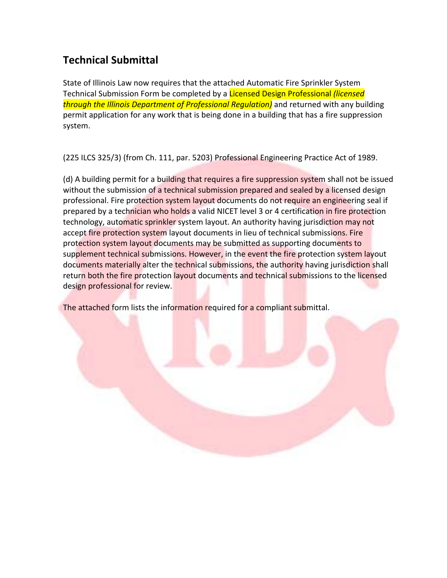## **Technical Submittal**

State of Illinois Law now requires that the attached Automatic Fire Sprinkler System Technical Submission Form be completed by a Licensed Design Professional *(licensed through the Illinois Department of Professional Regulation)* and returned with any building permit application for any work that is being done in a building that has a fire suppression system.

(225 ILCS 325/3) (from Ch. 111, par. 5203) Professional Engineering Practice Act of 1989.

(d) A building permit for a building that requires a fire suppression system shall not be issued without the submission of a technical submission prepared and sealed by a licensed design professional. Fire protection system layout documents do not require an engineering seal if prepared by a technician who holds a valid NICET level 3 or 4 certification in fire protection technology, automatic sprinkler system layout. An authority having jurisdiction may not accept fire protection system layout documents in lieu of technical submissions. Fire protection system layout documents may be submitted as supporting documents to supplement technical submissions. However, in the event the fire protection system layout documents materially alter the technical submissions, the authority having jurisdiction shall return both the fire protection layout documents and technical submissions to the licensed design professional for review.

The attached form lists the information required for a compliant submittal.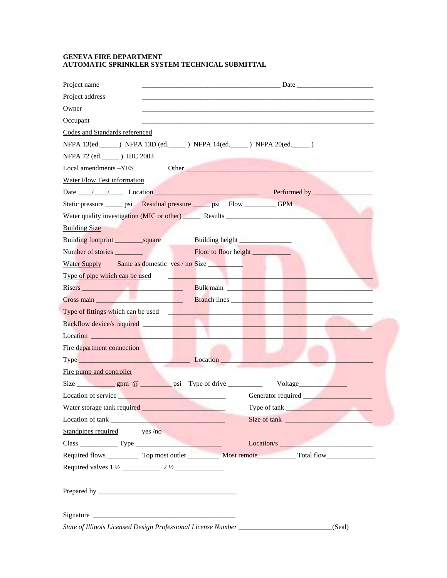#### **GENEVA FIRE DEPARTMENT AUTOMATIC SPRINKLER SYSTEM TECHNICAL SUBMITTAL**

| Project name                                                                                                                                                                                                                         |                                                                                                                                                                                                                                     |
|--------------------------------------------------------------------------------------------------------------------------------------------------------------------------------------------------------------------------------------|-------------------------------------------------------------------------------------------------------------------------------------------------------------------------------------------------------------------------------------|
| Project address                                                                                                                                                                                                                      |                                                                                                                                                                                                                                     |
| Owner                                                                                                                                                                                                                                |                                                                                                                                                                                                                                     |
| Occupant                                                                                                                                                                                                                             |                                                                                                                                                                                                                                     |
| Codes and Standards referenced                                                                                                                                                                                                       |                                                                                                                                                                                                                                     |
| NFPA 13(ed. _____ ) NFPA 13D (ed. _____ ) NFPA 14(ed. _____ ) NFPA 20(ed. _____ )                                                                                                                                                    |                                                                                                                                                                                                                                     |
| NFPA 72 (ed. ) IBC 2003                                                                                                                                                                                                              |                                                                                                                                                                                                                                     |
| Local amendments -YES                                                                                                                                                                                                                |                                                                                                                                                                                                                                     |
| <b>Water Flow Test information</b>                                                                                                                                                                                                   |                                                                                                                                                                                                                                     |
|                                                                                                                                                                                                                                      | Date 11 12 Location 10 Location 2010 11 Performed by 10 Location 2010                                                                                                                                                               |
| Static pressure ______ psi Residual pressure _____ psi Flow _________ GPM                                                                                                                                                            |                                                                                                                                                                                                                                     |
| Water quality investigation (MIC or other) Results _____________________________                                                                                                                                                     |                                                                                                                                                                                                                                     |
| <b>Building Size</b>                                                                                                                                                                                                                 |                                                                                                                                                                                                                                     |
|                                                                                                                                                                                                                                      |                                                                                                                                                                                                                                     |
|                                                                                                                                                                                                                                      |                                                                                                                                                                                                                                     |
| Water Supply Same as domestic yes / no Size                                                                                                                                                                                          |                                                                                                                                                                                                                                     |
| Type of pipe which can be used                                                                                                                                                                                                       | <u> 1999 - Jan Alexander State Barbara (</u>                                                                                                                                                                                        |
|                                                                                                                                                                                                                                      | Risers <b>Example 2018</b> Bulk main <b>Bulk main Bulk main</b>                                                                                                                                                                     |
|                                                                                                                                                                                                                                      | Cross main <u>and the contract of the Branch lines</u> and the contract of the contract of the contract of the contract of the contract of the contract of the contract of the contract of the contract of the contract of the cont |
| Type of fittings which can be used <b>with a set of the contract of the contract of the contract of the contract of the contract of the contract of the contract of the contract of the contract of the contract of the contract</b> |                                                                                                                                                                                                                                     |
|                                                                                                                                                                                                                                      |                                                                                                                                                                                                                                     |
|                                                                                                                                                                                                                                      |                                                                                                                                                                                                                                     |
| Fire department connection                                                                                                                                                                                                           |                                                                                                                                                                                                                                     |
| Type Location Location Location Location                                                                                                                                                                                             |                                                                                                                                                                                                                                     |
| Fire pump and controller                                                                                                                                                                                                             |                                                                                                                                                                                                                                     |
|                                                                                                                                                                                                                                      |                                                                                                                                                                                                                                     |
| Location of service <u>example and the service</u>                                                                                                                                                                                   | Generator required                                                                                                                                                                                                                  |
|                                                                                                                                                                                                                                      | Type of tank                                                                                                                                                                                                                        |
|                                                                                                                                                                                                                                      | Size of tank                                                                                                                                                                                                                        |
| Standpipes required ves/no                                                                                                                                                                                                           |                                                                                                                                                                                                                                     |
|                                                                                                                                                                                                                                      | Location/s                                                                                                                                                                                                                          |
|                                                                                                                                                                                                                                      |                                                                                                                                                                                                                                     |
|                                                                                                                                                                                                                                      |                                                                                                                                                                                                                                     |
|                                                                                                                                                                                                                                      |                                                                                                                                                                                                                                     |
|                                                                                                                                                                                                                                      |                                                                                                                                                                                                                                     |
|                                                                                                                                                                                                                                      |                                                                                                                                                                                                                                     |

*State of Illinois Licensed Design Professional License Number* \_\_\_\_\_\_\_\_\_\_\_\_\_\_\_\_\_\_\_\_\_\_\_\_\_\_\_(Seal)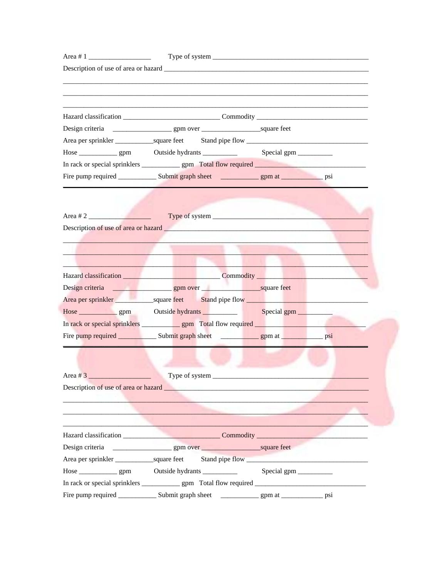| Area # 1 |                                                                                                                                                                                                                                     |  |
|----------|-------------------------------------------------------------------------------------------------------------------------------------------------------------------------------------------------------------------------------------|--|
|          |                                                                                                                                                                                                                                     |  |
|          |                                                                                                                                                                                                                                     |  |
|          |                                                                                                                                                                                                                                     |  |
|          |                                                                                                                                                                                                                                     |  |
|          |                                                                                                                                                                                                                                     |  |
|          |                                                                                                                                                                                                                                     |  |
|          |                                                                                                                                                                                                                                     |  |
|          |                                                                                                                                                                                                                                     |  |
|          |                                                                                                                                                                                                                                     |  |
|          |                                                                                                                                                                                                                                     |  |
|          | Area # 2                                                                                                                                                                                                                            |  |
|          |                                                                                                                                                                                                                                     |  |
|          | $\sim$                                                                                                                                                                                                                              |  |
|          |                                                                                                                                                                                                                                     |  |
|          |                                                                                                                                                                                                                                     |  |
|          | Hazard classification Commodity Commodity                                                                                                                                                                                           |  |
|          |                                                                                                                                                                                                                                     |  |
|          | Area per sprinkler square feet Stand pipe flow Stand in the Stand in the Stand in the Stand in the Stand in the Stand in the Stand in the Stand in the Stand in the Stand in the Stand in the Stand in the Stand in the Stand       |  |
|          | Hose <u>esimes are generally</u> controlled by contract the series of the series of the series of the series of the series of the series of the series of the series of the series of the series of the series of the series of the |  |
|          |                                                                                                                                                                                                                                     |  |
|          |                                                                                                                                                                                                                                     |  |
|          |                                                                                                                                                                                                                                     |  |
|          |                                                                                                                                                                                                                                     |  |
|          | Type of system                                                                                                                                                                                                                      |  |
|          |                                                                                                                                                                                                                                     |  |
|          |                                                                                                                                                                                                                                     |  |
|          | the contract of the contract of the contract of the contract of the contract of the contract of the contract of                                                                                                                     |  |
|          |                                                                                                                                                                                                                                     |  |
|          |                                                                                                                                                                                                                                     |  |
|          |                                                                                                                                                                                                                                     |  |
|          | Area per sprinkler square feet Stand pipe flow                                                                                                                                                                                      |  |
|          |                                                                                                                                                                                                                                     |  |
|          |                                                                                                                                                                                                                                     |  |
|          |                                                                                                                                                                                                                                     |  |